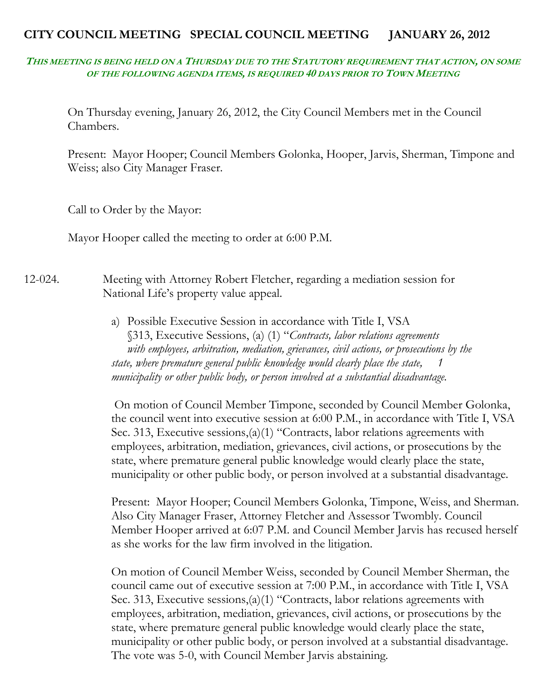# **CITY COUNCIL MEETING SPECIAL COUNCIL MEETING JANUARY 26, 2012**

## **THIS MEETING IS BEING HELD ON A THURSDAY DUE TO THE STATUTORY REQUIREMENT THAT ACTION, ON SOME OF THE FOLLOWING AGENDA ITEMS, IS REQUIRED 40 DAYS PRIOR TO TOWN MEETING**

On Thursday evening, January 26, 2012, the City Council Members met in the Council Chambers.

Present: Mayor Hooper; Council Members Golonka, Hooper, Jarvis, Sherman, Timpone and Weiss; also City Manager Fraser.

Call to Order by the Mayor:

Mayor Hooper called the meeting to order at 6:00 P.M.

# 12-024. Meeting with Attorney Robert Fletcher, regarding a mediation session for National Life's property value appeal.

a) Possible Executive Session in accordance with Title I, VSA §313, Executive Sessions, (a) (1) "*Contracts, labor relations agreements with employees, arbitration, mediation, grievances, civil actions, or prosecutions by the state, where premature general public knowledge would clearly place the state, 1 municipality or other public body, or person involved at a substantial disadvantage.*

On motion of Council Member Timpone, seconded by Council Member Golonka, the council went into executive session at 6:00 P.M., in accordance with Title I, VSA Sec. 313, Executive sessions,(a)(1) "Contracts, labor relations agreements with employees, arbitration, mediation, grievances, civil actions, or prosecutions by the state, where premature general public knowledge would clearly place the state, municipality or other public body, or person involved at a substantial disadvantage.

Present: Mayor Hooper; Council Members Golonka, Timpone, Weiss, and Sherman. Also City Manager Fraser, Attorney Fletcher and Assessor Twombly. Council Member Hooper arrived at 6:07 P.M. and Council Member Jarvis has recused herself as she works for the law firm involved in the litigation.

On motion of Council Member Weiss, seconded by Council Member Sherman, the council came out of executive session at 7:00 P.M., in accordance with Title I, VSA Sec. 313, Executive sessions,(a)(1) "Contracts, labor relations agreements with employees, arbitration, mediation, grievances, civil actions, or prosecutions by the state, where premature general public knowledge would clearly place the state, municipality or other public body, or person involved at a substantial disadvantage. The vote was 5-0, with Council Member Jarvis abstaining.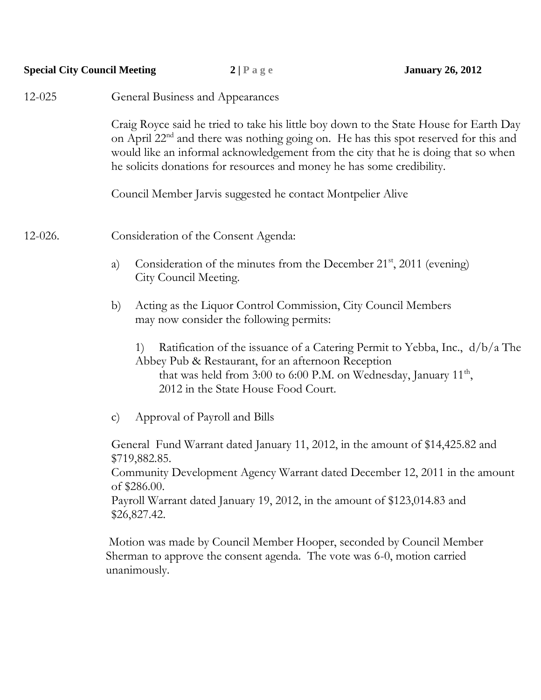| <b>Special City Council Meeting</b> |                                                                                                                                                                                                                                                                                                                                                            | 2 Page                                                                                                   | <b>January 26, 2012</b>                                                                                                                            |  |  |
|-------------------------------------|------------------------------------------------------------------------------------------------------------------------------------------------------------------------------------------------------------------------------------------------------------------------------------------------------------------------------------------------------------|----------------------------------------------------------------------------------------------------------|----------------------------------------------------------------------------------------------------------------------------------------------------|--|--|
| 12-025                              | General Business and Appearances                                                                                                                                                                                                                                                                                                                           |                                                                                                          |                                                                                                                                                    |  |  |
|                                     | Craig Royce said he tried to take his little boy down to the State House for Earth Day<br>on April 22 <sup>nd</sup> and there was nothing going on. He has this spot reserved for this and<br>would like an informal acknowledgement from the city that he is doing that so when<br>he solicits donations for resources and money he has some credibility. |                                                                                                          |                                                                                                                                                    |  |  |
|                                     | Council Member Jarvis suggested he contact Montpelier Alive                                                                                                                                                                                                                                                                                                |                                                                                                          |                                                                                                                                                    |  |  |
| $12 - 026$ .                        |                                                                                                                                                                                                                                                                                                                                                            | Consideration of the Consent Agenda:                                                                     |                                                                                                                                                    |  |  |
|                                     | a)                                                                                                                                                                                                                                                                                                                                                         | Consideration of the minutes from the December $21st$ , $2011$ (evening)<br>City Council Meeting.        |                                                                                                                                                    |  |  |
|                                     | b)                                                                                                                                                                                                                                                                                                                                                         | Acting as the Liquor Control Commission, City Council Members<br>may now consider the following permits: |                                                                                                                                                    |  |  |
|                                     | 1)                                                                                                                                                                                                                                                                                                                                                         | Abbey Pub & Restaurant, for an afternoon Reception<br>2012 in the State House Food Court.                | Ratification of the issuance of a Catering Permit to Yebba, Inc., d/b/a The<br>that was held from 3:00 to 6:00 P.M. on Wednesday, January $11th$ , |  |  |
|                                     | $\mathbf{C}$                                                                                                                                                                                                                                                                                                                                               | Approval of Payroll and Bills                                                                            |                                                                                                                                                    |  |  |
|                                     | General Fund Warrant dated January 11, 2012, in the amount of \$14,425.82 and<br>\$719,882.85.                                                                                                                                                                                                                                                             |                                                                                                          |                                                                                                                                                    |  |  |
|                                     | Community Development Agency Warrant dated December 12, 2011 in the amount<br>of \$286.00.                                                                                                                                                                                                                                                                 |                                                                                                          |                                                                                                                                                    |  |  |
|                                     | Payroll Warrant dated January 19, 2012, in the amount of \$123,014.83 and<br>\$26,827.42.                                                                                                                                                                                                                                                                  |                                                                                                          |                                                                                                                                                    |  |  |
|                                     | unanimously.                                                                                                                                                                                                                                                                                                                                               | Sherman to approve the consent agenda. The vote was 6-0, motion carried                                  | Motion was made by Council Member Hooper, seconded by Council Member                                                                               |  |  |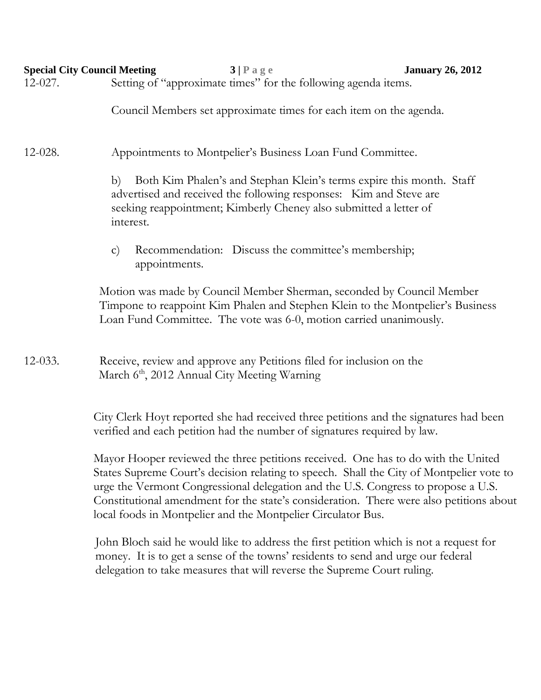|           | <b>Special City Council Meeting</b><br>3 Page<br><b>January 26, 2012</b>                                                                                                                                                                                                                                                                                                                                                      |  |  |  |  |  |
|-----------|-------------------------------------------------------------------------------------------------------------------------------------------------------------------------------------------------------------------------------------------------------------------------------------------------------------------------------------------------------------------------------------------------------------------------------|--|--|--|--|--|
| $12-027.$ | Setting of "approximate times" for the following agenda items.                                                                                                                                                                                                                                                                                                                                                                |  |  |  |  |  |
|           | Council Members set approximate times for each item on the agenda.                                                                                                                                                                                                                                                                                                                                                            |  |  |  |  |  |
| 12-028.   | Appointments to Montpelier's Business Loan Fund Committee.                                                                                                                                                                                                                                                                                                                                                                    |  |  |  |  |  |
|           | Both Kim Phalen's and Stephan Klein's terms expire this month. Staff<br>b)<br>advertised and received the following responses: Kim and Steve are<br>seeking reappointment; Kimberly Cheney also submitted a letter of<br>interest.                                                                                                                                                                                            |  |  |  |  |  |
|           | Recommendation: Discuss the committee's membership;<br>$\mathbf{C}$<br>appointments.                                                                                                                                                                                                                                                                                                                                          |  |  |  |  |  |
|           | Motion was made by Council Member Sherman, seconded by Council Member<br>Timpone to reappoint Kim Phalen and Stephen Klein to the Montpelier's Business<br>Loan Fund Committee. The vote was 6-0, motion carried unanimously.                                                                                                                                                                                                 |  |  |  |  |  |
| 12-033.   | Receive, review and approve any Petitions filed for inclusion on the<br>March 6 <sup>th</sup> , 2012 Annual City Meeting Warning                                                                                                                                                                                                                                                                                              |  |  |  |  |  |
|           | City Clerk Hoyt reported she had received three petitions and the signatures had been<br>verified and each petition had the number of signatures required by law.                                                                                                                                                                                                                                                             |  |  |  |  |  |
|           | Mayor Hooper reviewed the three petitions received. One has to do with the United<br>States Supreme Court's decision relating to speech. Shall the City of Montpelier vote to<br>urge the Vermont Congressional delegation and the U.S. Congress to propose a U.S.<br>Constitutional amendment for the state's consideration. There were also petitions about<br>local foods in Montpelier and the Montpelier Circulator Bus. |  |  |  |  |  |
|           | John Bloch said he would like to address the first petition which is not a request for                                                                                                                                                                                                                                                                                                                                        |  |  |  |  |  |

John Bloch said he would like to address the first petition which is not a request for money. It is to get a sense of the towns' residents to send and urge our federal delegation to take measures that will reverse the Supreme Court ruling.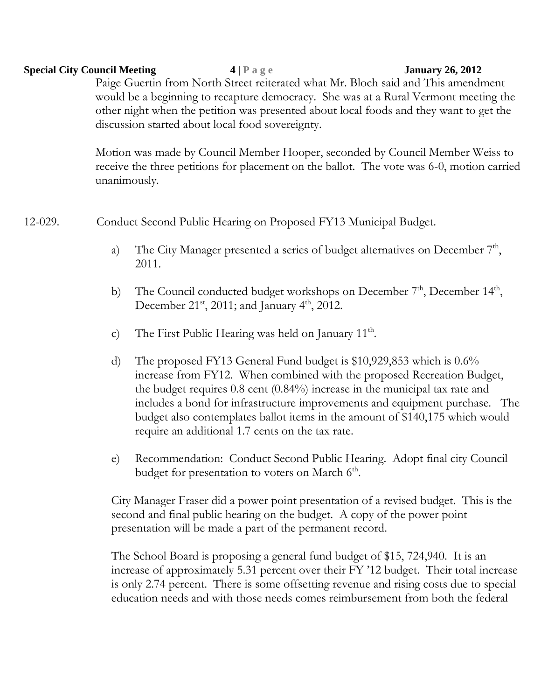## **Special City Council Meeting 4 | P a g e January 26, 2012**

Paige Guertin from North Street reiterated what Mr. Bloch said and This amendment would be a beginning to recapture democracy. She was at a Rural Vermont meeting the other night when the petition was presented about local foods and they want to get the discussion started about local food sovereignty.

Motion was made by Council Member Hooper, seconded by Council Member Weiss to receive the three petitions for placement on the ballot. The vote was 6-0, motion carried unanimously.

12-029. Conduct Second Public Hearing on Proposed FY13 Municipal Budget.

- a) The City Manager presented a series of budget alternatives on December  $7<sup>th</sup>$ , 2011.
- b) The Council conducted budget workshops on December  $7<sup>th</sup>$ , December  $14<sup>th</sup>$ , December 21<sup>st</sup>, 2011; and January  $4^{\text{th}}$ , 2012.
- c) The First Public Hearing was held on January  $11<sup>th</sup>$ .
- d) The proposed FY13 General Fund budget is \$10,929,853 which is 0.6% increase from FY12. When combined with the proposed Recreation Budget, the budget requires 0.8 cent (0.84%) increase in the municipal tax rate and includes a bond for infrastructure improvements and equipment purchase. The budget also contemplates ballot items in the amount of \$140,175 which would require an additional 1.7 cents on the tax rate.
- e) Recommendation: Conduct Second Public Hearing. Adopt final city Council budget for presentation to voters on March 6<sup>th</sup>.

City Manager Fraser did a power point presentation of a revised budget. This is the second and final public hearing on the budget. A copy of the power point presentation will be made a part of the permanent record.

The School Board is proposing a general fund budget of \$15, 724,940. It is an increase of approximately 5.31 percent over their FY '12 budget. Their total increase is only 2.74 percent. There is some offsetting revenue and rising costs due to special education needs and with those needs comes reimbursement from both the federal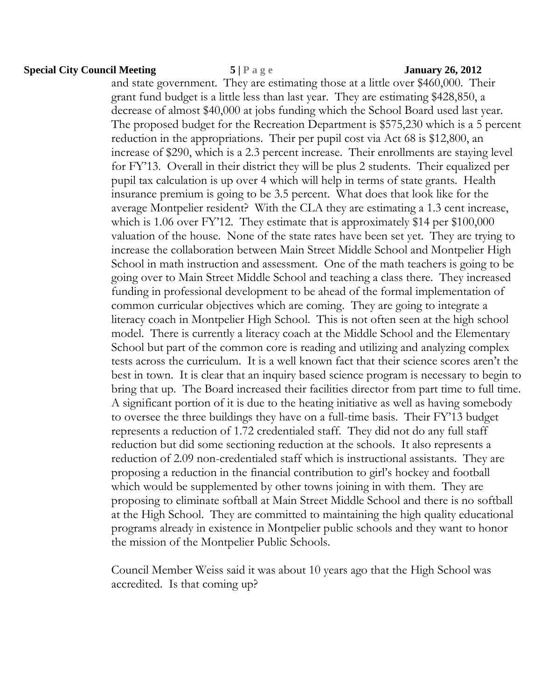## **Special City Council Meeting 5 | P a g e January 26, 2012**

and state government. They are estimating those at a little over \$460,000. Their grant fund budget is a little less than last year. They are estimating \$428,850, a decrease of almost \$40,000 at jobs funding which the School Board used last year. The proposed budget for the Recreation Department is \$575,230 which is a 5 percent reduction in the appropriations. Their per pupil cost via Act 68 is \$12,800, an increase of \$290, which is a 2.3 percent increase. Their enrollments are staying level for FY'13. Overall in their district they will be plus 2 students. Their equalized per pupil tax calculation is up over 4 which will help in terms of state grants. Health insurance premium is going to be 3.5 percent. What does that look like for the average Montpelier resident? With the CLA they are estimating a 1.3 cent increase, which is 1.06 over FY'12. They estimate that is approximately \$14 per \$100,000 valuation of the house. None of the state rates have been set yet. They are trying to increase the collaboration between Main Street Middle School and Montpelier High School in math instruction and assessment. One of the math teachers is going to be going over to Main Street Middle School and teaching a class there. They increased funding in professional development to be ahead of the formal implementation of common curricular objectives which are coming. They are going to integrate a literacy coach in Montpelier High School. This is not often seen at the high school model. There is currently a literacy coach at the Middle School and the Elementary School but part of the common core is reading and utilizing and analyzing complex tests across the curriculum. It is a well known fact that their science scores aren't the best in town. It is clear that an inquiry based science program is necessary to begin to bring that up. The Board increased their facilities director from part time to full time. A significant portion of it is due to the heating initiative as well as having somebody to oversee the three buildings they have on a full-time basis. Their FY'13 budget represents a reduction of 1.72 credentialed staff. They did not do any full staff reduction but did some sectioning reduction at the schools. It also represents a reduction of 2.09 non-credentialed staff which is instructional assistants. They are proposing a reduction in the financial contribution to girl's hockey and football which would be supplemented by other towns joining in with them. They are proposing to eliminate softball at Main Street Middle School and there is no softball at the High School. They are committed to maintaining the high quality educational programs already in existence in Montpelier public schools and they want to honor the mission of the Montpelier Public Schools.

Council Member Weiss said it was about 10 years ago that the High School was accredited. Is that coming up?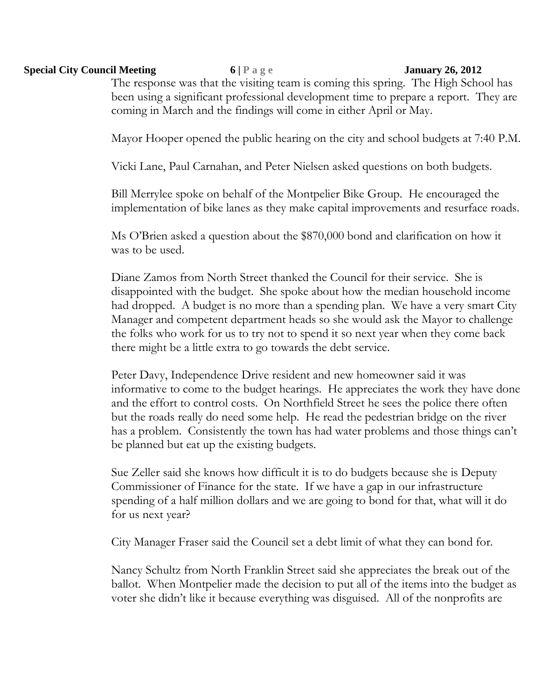## **Special City Council Meeting 6 | P a g e January 26, 2012**

The response was that the visiting team is coming this spring. The High School has been using a significant professional development time to prepare a report. They are coming in March and the findings will come in either April or May.

Mayor Hooper opened the public hearing on the city and school budgets at 7:40 P.M.

Vicki Lane, Paul Carnahan, and Peter Nielsen asked questions on both budgets.

Bill Merrylee spoke on behalf of the Montpelier Bike Group. He encouraged the implementation of bike lanes as they make capital improvements and resurface roads.

Ms O'Brien asked a question about the \$870,000 bond and clarification on how it was to be used.

Diane Zamos from North Street thanked the Council for their service. She is disappointed with the budget. She spoke about how the median household income had dropped. A budget is no more than a spending plan. We have a very smart City Manager and competent department heads so she would ask the Mayor to challenge the folks who work for us to try not to spend it so next year when they come back there might be a little extra to go towards the debt service.

Peter Davy, Independence Drive resident and new homeowner said it was informative to come to the budget hearings. He appreciates the work they have done and the effort to control costs. On Northfield Street he sees the police there often but the roads really do need some help. He read the pedestrian bridge on the river has a problem. Consistently the town has had water problems and those things can't be planned but eat up the existing budgets.

Sue Zeller said she knows how difficult it is to do budgets because she is Deputy Commissioner of Finance for the state. If we have a gap in our infrastructure spending of a half million dollars and we are going to bond for that, what will it do for us next year?

City Manager Fraser said the Council set a debt limit of what they can bond for.

Nancy Schultz from North Franklin Street said she appreciates the break out of the ballot. When Montpelier made the decision to put all of the items into the budget as voter she didn't like it because everything was disguised. All of the nonprofits are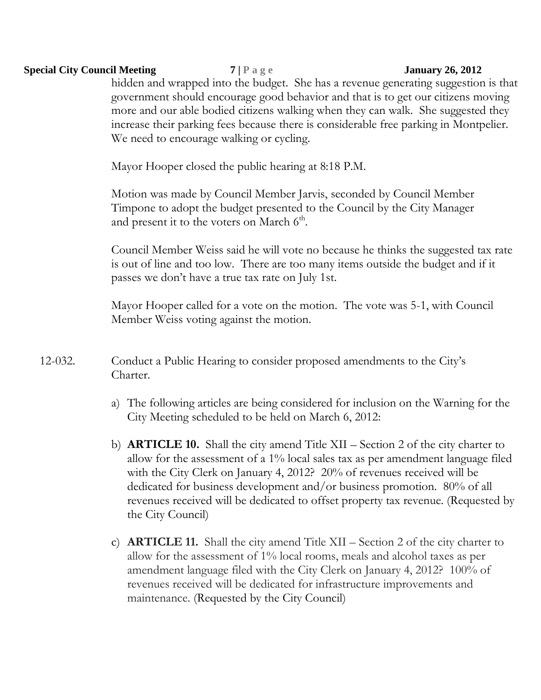## **Special City Council Meeting 7 | P a g e January 26, 2012**

hidden and wrapped into the budget. She has a revenue generating suggestion is that government should encourage good behavior and that is to get our citizens moving more and our able bodied citizens walking when they can walk. She suggested they increase their parking fees because there is considerable free parking in Montpelier. We need to encourage walking or cycling.

Mayor Hooper closed the public hearing at 8:18 P.M.

Motion was made by Council Member Jarvis, seconded by Council Member Timpone to adopt the budget presented to the Council by the City Manager and present it to the voters on March  $6<sup>th</sup>$ .

Council Member Weiss said he will vote no because he thinks the suggested tax rate is out of line and too low. There are too many items outside the budget and if it passes we don't have a true tax rate on July 1st.

Mayor Hooper called for a vote on the motion. The vote was 5-1, with Council Member Weiss voting against the motion.

- 12-032. Conduct a Public Hearing to consider proposed amendments to the City's Charter.
	- a) The following articles are being considered for inclusion on the Warning for the City Meeting scheduled to be held on March 6, 2012:
	- b) **ARTICLE 10.** Shall the city amend Title XII Section 2 of the city charter to allow for the assessment of a 1% local sales tax as per amendment language filed with the City Clerk on January 4, 2012? 20% of revenues received will be dedicated for business development and/or business promotion. 80% of all revenues received will be dedicated to offset property tax revenue. (Requested by the City Council)
	- c) **ARTICLE 11.** Shall the city amend Title XII Section 2 of the city charter to allow for the assessment of 1% local rooms, meals and alcohol taxes as per amendment language filed with the City Clerk on January 4, 2012? 100% of revenues received will be dedicated for infrastructure improvements and maintenance. (Requested by the City Council)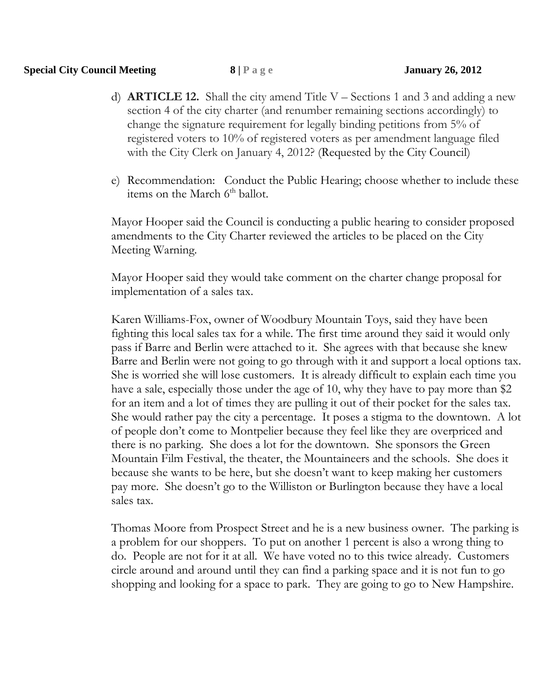- d) **ARTICLE 12.** Shall the city amend Title V Sections 1 and 3 and adding a new section 4 of the city charter (and renumber remaining sections accordingly) to change the signature requirement for legally binding petitions from 5% of registered voters to 10% of registered voters as per amendment language filed with the City Clerk on January 4, 2012? (Requested by the City Council)
- e) Recommendation: Conduct the Public Hearing; choose whether to include these items on the March  $6<sup>th</sup>$  ballot.

Mayor Hooper said the Council is conducting a public hearing to consider proposed amendments to the City Charter reviewed the articles to be placed on the City Meeting Warning.

Mayor Hooper said they would take comment on the charter change proposal for implementation of a sales tax.

Karen Williams-Fox, owner of Woodbury Mountain Toys, said they have been fighting this local sales tax for a while. The first time around they said it would only pass if Barre and Berlin were attached to it. She agrees with that because she knew Barre and Berlin were not going to go through with it and support a local options tax. She is worried she will lose customers. It is already difficult to explain each time you have a sale, especially those under the age of 10, why they have to pay more than \$2 for an item and a lot of times they are pulling it out of their pocket for the sales tax. She would rather pay the city a percentage. It poses a stigma to the downtown. A lot of people don't come to Montpelier because they feel like they are overpriced and there is no parking. She does a lot for the downtown. She sponsors the Green Mountain Film Festival, the theater, the Mountaineers and the schools. She does it because she wants to be here, but she doesn't want to keep making her customers pay more. She doesn't go to the Williston or Burlington because they have a local sales tax.

Thomas Moore from Prospect Street and he is a new business owner. The parking is a problem for our shoppers. To put on another 1 percent is also a wrong thing to do. People are not for it at all. We have voted no to this twice already. Customers circle around and around until they can find a parking space and it is not fun to go shopping and looking for a space to park. They are going to go to New Hampshire.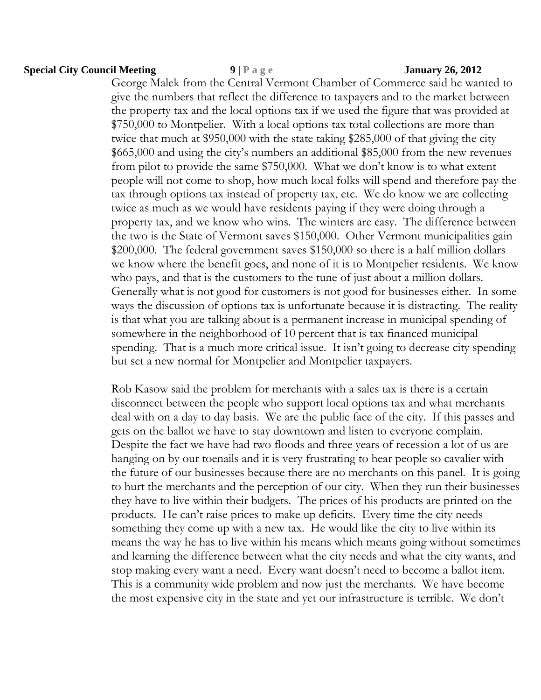## **Special City Council Meeting 9 | P a g e January 26, 2012**

George Malek from the Central Vermont Chamber of Commerce said he wanted to give the numbers that reflect the difference to taxpayers and to the market between the property tax and the local options tax if we used the figure that was provided at \$750,000 to Montpelier. With a local options tax total collections are more than twice that much at \$950,000 with the state taking \$285,000 of that giving the city \$665,000 and using the city's numbers an additional \$85,000 from the new revenues from pilot to provide the same \$750,000. What we don't know is to what extent people will not come to shop, how much local folks will spend and therefore pay the tax through options tax instead of property tax, etc. We do know we are collecting twice as much as we would have residents paying if they were doing through a property tax, and we know who wins. The winters are easy. The difference between the two is the State of Vermont saves \$150,000. Other Vermont municipalities gain \$200,000. The federal government saves \$150,000 so there is a half million dollars we know where the benefit goes, and none of it is to Montpelier residents. We know who pays, and that is the customers to the tune of just about a million dollars. Generally what is not good for customers is not good for businesses either. In some ways the discussion of options tax is unfortunate because it is distracting. The reality is that what you are talking about is a permanent increase in municipal spending of somewhere in the neighborhood of 10 percent that is tax financed municipal spending. That is a much more critical issue. It isn't going to decrease city spending but set a new normal for Montpelier and Montpelier taxpayers.

Rob Kasow said the problem for merchants with a sales tax is there is a certain disconnect between the people who support local options tax and what merchants deal with on a day to day basis. We are the public face of the city. If this passes and gets on the ballot we have to stay downtown and listen to everyone complain. Despite the fact we have had two floods and three years of recession a lot of us are hanging on by our toenails and it is very frustrating to hear people so cavalier with the future of our businesses because there are no merchants on this panel. It is going to hurt the merchants and the perception of our city. When they run their businesses they have to live within their budgets. The prices of his products are printed on the products. He can't raise prices to make up deficits. Every time the city needs something they come up with a new tax. He would like the city to live within its means the way he has to live within his means which means going without sometimes and learning the difference between what the city needs and what the city wants, and stop making every want a need. Every want doesn't need to become a ballot item. This is a community wide problem and now just the merchants. We have become the most expensive city in the state and yet our infrastructure is terrible. We don't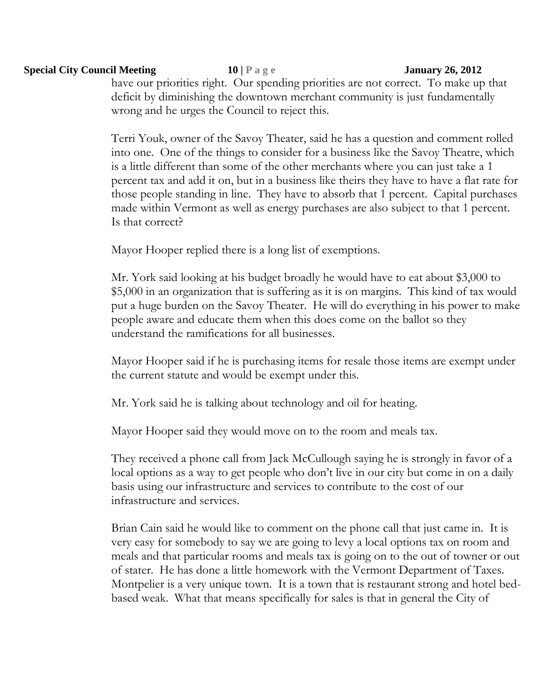## **Special City Council Meeting 10 | P a g e January 26, 2012**

have our priorities right. Our spending priorities are not correct. To make up that deficit by diminishing the downtown merchant community is just fundamentally wrong and he urges the Council to reject this.

Terri Youk, owner of the Savoy Theater, said he has a question and comment rolled into one. One of the things to consider for a business like the Savoy Theatre, which is a little different than some of the other merchants where you can just take a 1 percent tax and add it on, but in a business like theirs they have to have a flat rate for those people standing in line. They have to absorb that 1 percent. Capital purchases made within Vermont as well as energy purchases are also subject to that 1 percent. Is that correct?

Mayor Hooper replied there is a long list of exemptions.

Mr. York said looking at his budget broadly he would have to eat about \$3,000 to \$5,000 in an organization that is suffering as it is on margins. This kind of tax would put a huge burden on the Savoy Theater. He will do everything in his power to make people aware and educate them when this does come on the ballot so they understand the ramifications for all businesses.

Mayor Hooper said if he is purchasing items for resale those items are exempt under the current statute and would be exempt under this.

Mr. York said he is talking about technology and oil for heating.

Mayor Hooper said they would move on to the room and meals tax.

They received a phone call from Jack McCullough saying he is strongly in favor of a local options as a way to get people who don't live in our city but come in on a daily basis using our infrastructure and services to contribute to the cost of our infrastructure and services.

Brian Cain said he would like to comment on the phone call that just came in. It is very easy for somebody to say we are going to levy a local options tax on room and meals and that particular rooms and meals tax is going on to the out of towner or out of stater. He has done a little homework with the Vermont Department of Taxes. Montpelier is a very unique town. It is a town that is restaurant strong and hotel bedbased weak. What that means specifically for sales is that in general the City of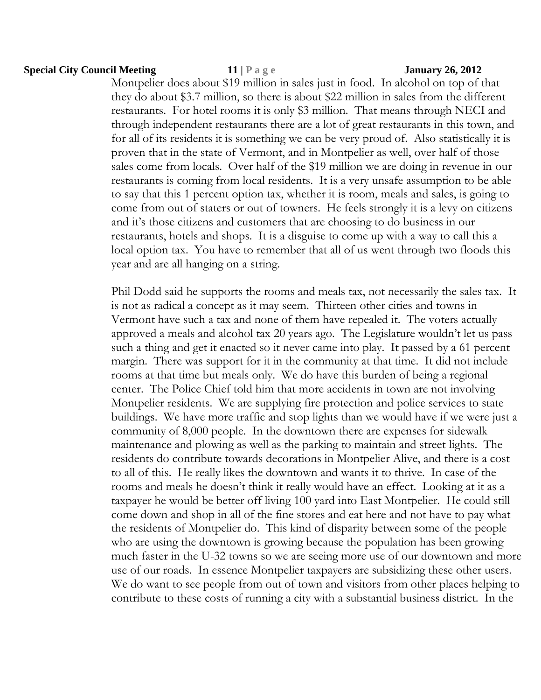## **Special City Council Meeting 11 | P a g e January 26, 2012**

Montpelier does about \$19 million in sales just in food. In alcohol on top of that they do about \$3.7 million, so there is about \$22 million in sales from the different restaurants. For hotel rooms it is only \$3 million. That means through NECI and through independent restaurants there are a lot of great restaurants in this town, and for all of its residents it is something we can be very proud of. Also statistically it is proven that in the state of Vermont, and in Montpelier as well, over half of those sales come from locals. Over half of the \$19 million we are doing in revenue in our restaurants is coming from local residents. It is a very unsafe assumption to be able to say that this 1 percent option tax, whether it is room, meals and sales, is going to come from out of staters or out of towners. He feels strongly it is a levy on citizens and it's those citizens and customers that are choosing to do business in our restaurants, hotels and shops. It is a disguise to come up with a way to call this a local option tax. You have to remember that all of us went through two floods this year and are all hanging on a string.

Phil Dodd said he supports the rooms and meals tax, not necessarily the sales tax. It is not as radical a concept as it may seem. Thirteen other cities and towns in Vermont have such a tax and none of them have repealed it. The voters actually approved a meals and alcohol tax 20 years ago. The Legislature wouldn't let us pass such a thing and get it enacted so it never came into play. It passed by a 61 percent margin. There was support for it in the community at that time. It did not include rooms at that time but meals only. We do have this burden of being a regional center. The Police Chief told him that more accidents in town are not involving Montpelier residents. We are supplying fire protection and police services to state buildings. We have more traffic and stop lights than we would have if we were just a community of 8,000 people. In the downtown there are expenses for sidewalk maintenance and plowing as well as the parking to maintain and street lights. The residents do contribute towards decorations in Montpelier Alive, and there is a cost to all of this. He really likes the downtown and wants it to thrive. In case of the rooms and meals he doesn't think it really would have an effect. Looking at it as a taxpayer he would be better off living 100 yard into East Montpelier. He could still come down and shop in all of the fine stores and eat here and not have to pay what the residents of Montpelier do. This kind of disparity between some of the people who are using the downtown is growing because the population has been growing much faster in the U-32 towns so we are seeing more use of our downtown and more use of our roads. In essence Montpelier taxpayers are subsidizing these other users. We do want to see people from out of town and visitors from other places helping to contribute to these costs of running a city with a substantial business district. In the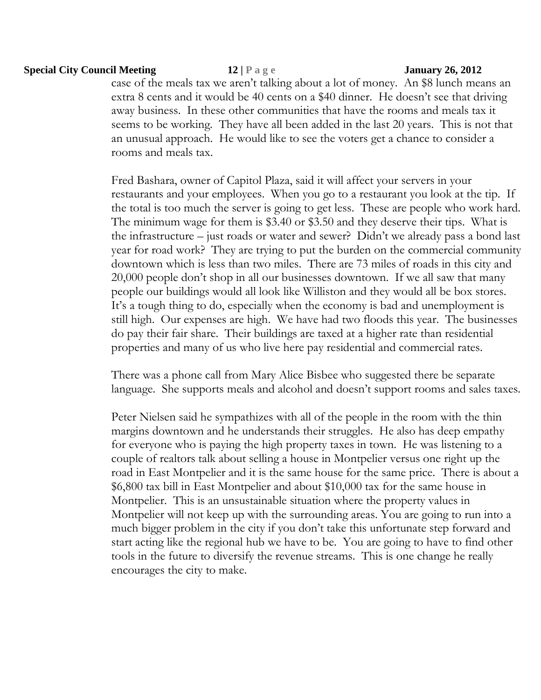## **Special City Council Meeting 12 | P a g e January 26, 2012**

case of the meals tax we aren't talking about a lot of money. An \$8 lunch means an extra 8 cents and it would be 40 cents on a \$40 dinner. He doesn't see that driving away business. In these other communities that have the rooms and meals tax it seems to be working. They have all been added in the last 20 years. This is not that an unusual approach. He would like to see the voters get a chance to consider a rooms and meals tax.

Fred Bashara, owner of Capitol Plaza, said it will affect your servers in your restaurants and your employees. When you go to a restaurant you look at the tip. If the total is too much the server is going to get less. These are people who work hard. The minimum wage for them is \$3.40 or \$3.50 and they deserve their tips. What is the infrastructure – just roads or water and sewer? Didn't we already pass a bond last year for road work? They are trying to put the burden on the commercial community downtown which is less than two miles. There are 73 miles of roads in this city and 20,000 people don't shop in all our businesses downtown. If we all saw that many people our buildings would all look like Williston and they would all be box stores. It's a tough thing to do, especially when the economy is bad and unemployment is still high. Our expenses are high. We have had two floods this year. The businesses do pay their fair share. Their buildings are taxed at a higher rate than residential properties and many of us who live here pay residential and commercial rates.

There was a phone call from Mary Alice Bisbee who suggested there be separate language. She supports meals and alcohol and doesn't support rooms and sales taxes.

Peter Nielsen said he sympathizes with all of the people in the room with the thin margins downtown and he understands their struggles. He also has deep empathy for everyone who is paying the high property taxes in town. He was listening to a couple of realtors talk about selling a house in Montpelier versus one right up the road in East Montpelier and it is the same house for the same price. There is about a \$6,800 tax bill in East Montpelier and about \$10,000 tax for the same house in Montpelier. This is an unsustainable situation where the property values in Montpelier will not keep up with the surrounding areas. You are going to run into a much bigger problem in the city if you don't take this unfortunate step forward and start acting like the regional hub we have to be. You are going to have to find other tools in the future to diversify the revenue streams. This is one change he really encourages the city to make.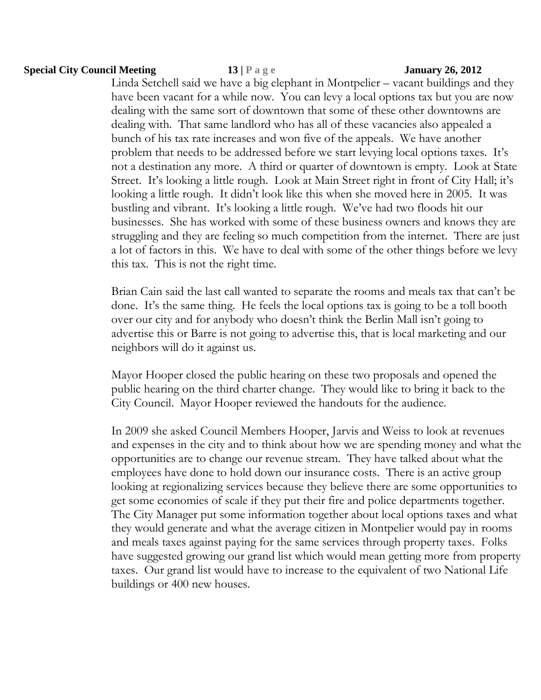## **Special City Council Meeting 13 | P a g e January 26, 2012**

Linda Setchell said we have a big elephant in Montpelier – vacant buildings and they have been vacant for a while now. You can levy a local options tax but you are now dealing with the same sort of downtown that some of these other downtowns are dealing with. That same landlord who has all of these vacancies also appealed a bunch of his tax rate increases and won five of the appeals. We have another problem that needs to be addressed before we start levying local options taxes. It's not a destination any more. A third or quarter of downtown is empty. Look at State Street. It's looking a little rough. Look at Main Street right in front of City Hall; it's looking a little rough. It didn't look like this when she moved here in 2005. It was bustling and vibrant. It's looking a little rough. We've had two floods hit our businesses. She has worked with some of these business owners and knows they are struggling and they are feeling so much competition from the internet. There are just a lot of factors in this. We have to deal with some of the other things before we levy this tax. This is not the right time.

Brian Cain said the last call wanted to separate the rooms and meals tax that can't be done. It's the same thing. He feels the local options tax is going to be a toll booth over our city and for anybody who doesn't think the Berlin Mall isn't going to advertise this or Barre is not going to advertise this, that is local marketing and our neighbors will do it against us.

Mayor Hooper closed the public hearing on these two proposals and opened the public hearing on the third charter change. They would like to bring it back to the City Council. Mayor Hooper reviewed the handouts for the audience.

In 2009 she asked Council Members Hooper, Jarvis and Weiss to look at revenues and expenses in the city and to think about how we are spending money and what the opportunities are to change our revenue stream. They have talked about what the employees have done to hold down our insurance costs. There is an active group looking at regionalizing services because they believe there are some opportunities to get some economies of scale if they put their fire and police departments together. The City Manager put some information together about local options taxes and what they would generate and what the average citizen in Montpelier would pay in rooms and meals taxes against paying for the same services through property taxes. Folks have suggested growing our grand list which would mean getting more from property taxes. Our grand list would have to increase to the equivalent of two National Life buildings or 400 new houses.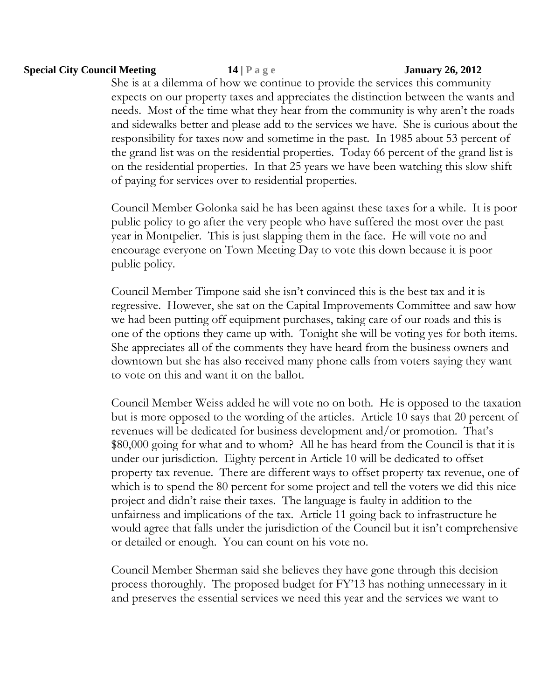## **Special City Council Meeting 14 | P a g e January 26, 2012**

She is at a dilemma of how we continue to provide the services this community expects on our property taxes and appreciates the distinction between the wants and needs. Most of the time what they hear from the community is why aren't the roads and sidewalks better and please add to the services we have. She is curious about the responsibility for taxes now and sometime in the past. In 1985 about 53 percent of the grand list was on the residential properties. Today 66 percent of the grand list is on the residential properties. In that 25 years we have been watching this slow shift of paying for services over to residential properties.

Council Member Golonka said he has been against these taxes for a while. It is poor public policy to go after the very people who have suffered the most over the past year in Montpelier. This is just slapping them in the face. He will vote no and encourage everyone on Town Meeting Day to vote this down because it is poor public policy.

Council Member Timpone said she isn't convinced this is the best tax and it is regressive. However, she sat on the Capital Improvements Committee and saw how we had been putting off equipment purchases, taking care of our roads and this is one of the options they came up with. Tonight she will be voting yes for both items. She appreciates all of the comments they have heard from the business owners and downtown but she has also received many phone calls from voters saying they want to vote on this and want it on the ballot.

Council Member Weiss added he will vote no on both. He is opposed to the taxation but is more opposed to the wording of the articles. Article 10 says that 20 percent of revenues will be dedicated for business development and/or promotion. That's \$80,000 going for what and to whom? All he has heard from the Council is that it is under our jurisdiction. Eighty percent in Article 10 will be dedicated to offset property tax revenue. There are different ways to offset property tax revenue, one of which is to spend the 80 percent for some project and tell the voters we did this nice project and didn't raise their taxes. The language is faulty in addition to the unfairness and implications of the tax. Article 11 going back to infrastructure he would agree that falls under the jurisdiction of the Council but it isn't comprehensive or detailed or enough. You can count on his vote no.

Council Member Sherman said she believes they have gone through this decision process thoroughly. The proposed budget for FY'13 has nothing unnecessary in it and preserves the essential services we need this year and the services we want to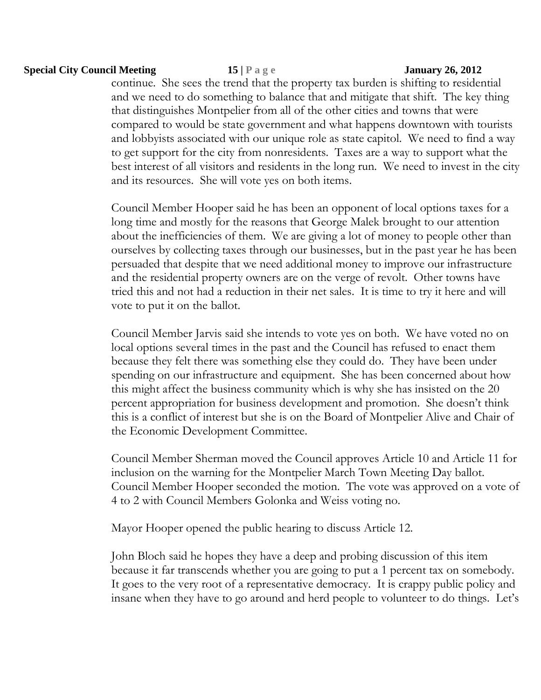## **Special City Council Meeting 15 | P a g e January 26, 2012**

continue. She sees the trend that the property tax burden is shifting to residential and we need to do something to balance that and mitigate that shift. The key thing that distinguishes Montpelier from all of the other cities and towns that were compared to would be state government and what happens downtown with tourists and lobbyists associated with our unique role as state capitol. We need to find a way to get support for the city from nonresidents. Taxes are a way to support what the best interest of all visitors and residents in the long run. We need to invest in the city and its resources. She will vote yes on both items.

Council Member Hooper said he has been an opponent of local options taxes for a long time and mostly for the reasons that George Malek brought to our attention about the inefficiencies of them. We are giving a lot of money to people other than ourselves by collecting taxes through our businesses, but in the past year he has been persuaded that despite that we need additional money to improve our infrastructure and the residential property owners are on the verge of revolt. Other towns have tried this and not had a reduction in their net sales. It is time to try it here and will vote to put it on the ballot.

Council Member Jarvis said she intends to vote yes on both. We have voted no on local options several times in the past and the Council has refused to enact them because they felt there was something else they could do. They have been under spending on our infrastructure and equipment. She has been concerned about how this might affect the business community which is why she has insisted on the 20 percent appropriation for business development and promotion. She doesn't think this is a conflict of interest but she is on the Board of Montpelier Alive and Chair of the Economic Development Committee.

Council Member Sherman moved the Council approves Article 10 and Article 11 for inclusion on the warning for the Montpelier March Town Meeting Day ballot. Council Member Hooper seconded the motion. The vote was approved on a vote of 4 to 2 with Council Members Golonka and Weiss voting no.

Mayor Hooper opened the public hearing to discuss Article 12.

John Bloch said he hopes they have a deep and probing discussion of this item because it far transcends whether you are going to put a 1 percent tax on somebody. It goes to the very root of a representative democracy. It is crappy public policy and insane when they have to go around and herd people to volunteer to do things. Let's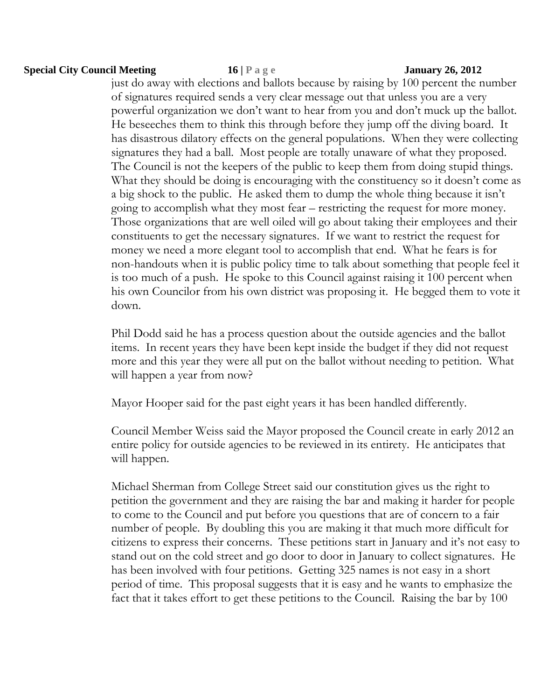## **Special City Council Meeting 16 | P a g e January 26, 2012**

just do away with elections and ballots because by raising by 100 percent the number of signatures required sends a very clear message out that unless you are a very powerful organization we don't want to hear from you and don't muck up the ballot. He beseeches them to think this through before they jump off the diving board. It has disastrous dilatory effects on the general populations. When they were collecting signatures they had a ball. Most people are totally unaware of what they proposed. The Council is not the keepers of the public to keep them from doing stupid things. What they should be doing is encouraging with the constituency so it doesn't come as a big shock to the public. He asked them to dump the whole thing because it isn't going to accomplish what they most fear – restricting the request for more money. Those organizations that are well oiled will go about taking their employees and their constituents to get the necessary signatures. If we want to restrict the request for money we need a more elegant tool to accomplish that end. What he fears is for non-handouts when it is public policy time to talk about something that people feel it is too much of a push. He spoke to this Council against raising it 100 percent when his own Councilor from his own district was proposing it. He begged them to vote it down.

Phil Dodd said he has a process question about the outside agencies and the ballot items. In recent years they have been kept inside the budget if they did not request more and this year they were all put on the ballot without needing to petition. What will happen a year from now?

Mayor Hooper said for the past eight years it has been handled differently.

Council Member Weiss said the Mayor proposed the Council create in early 2012 an entire policy for outside agencies to be reviewed in its entirety. He anticipates that will happen.

Michael Sherman from College Street said our constitution gives us the right to petition the government and they are raising the bar and making it harder for people to come to the Council and put before you questions that are of concern to a fair number of people. By doubling this you are making it that much more difficult for citizens to express their concerns. These petitions start in January and it's not easy to stand out on the cold street and go door to door in January to collect signatures. He has been involved with four petitions. Getting 325 names is not easy in a short period of time. This proposal suggests that it is easy and he wants to emphasize the fact that it takes effort to get these petitions to the Council. Raising the bar by 100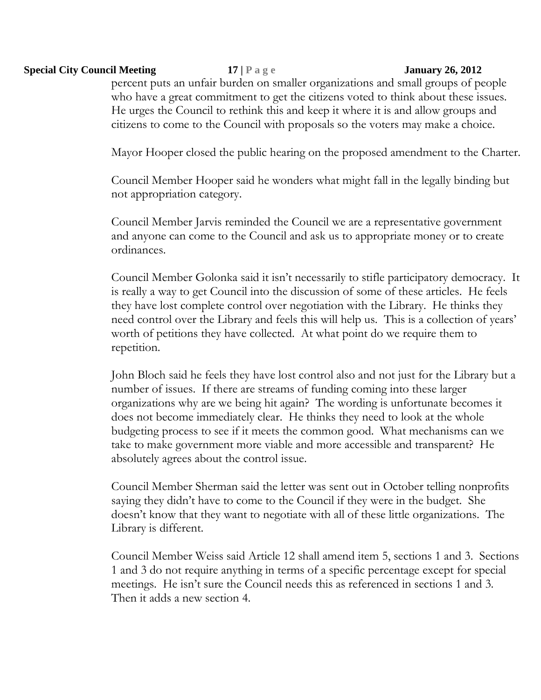## **Special City Council Meeting 17 | P a g e January 26, 2012**

percent puts an unfair burden on smaller organizations and small groups of people who have a great commitment to get the citizens voted to think about these issues. He urges the Council to rethink this and keep it where it is and allow groups and citizens to come to the Council with proposals so the voters may make a choice.

Mayor Hooper closed the public hearing on the proposed amendment to the Charter.

Council Member Hooper said he wonders what might fall in the legally binding but not appropriation category.

Council Member Jarvis reminded the Council we are a representative government and anyone can come to the Council and ask us to appropriate money or to create ordinances.

Council Member Golonka said it isn't necessarily to stifle participatory democracy. It is really a way to get Council into the discussion of some of these articles. He feels they have lost complete control over negotiation with the Library. He thinks they need control over the Library and feels this will help us. This is a collection of years' worth of petitions they have collected. At what point do we require them to repetition.

John Bloch said he feels they have lost control also and not just for the Library but a number of issues. If there are streams of funding coming into these larger organizations why are we being hit again? The wording is unfortunate becomes it does not become immediately clear. He thinks they need to look at the whole budgeting process to see if it meets the common good. What mechanisms can we take to make government more viable and more accessible and transparent? He absolutely agrees about the control issue.

Council Member Sherman said the letter was sent out in October telling nonprofits saying they didn't have to come to the Council if they were in the budget. She doesn't know that they want to negotiate with all of these little organizations. The Library is different.

Council Member Weiss said Article 12 shall amend item 5, sections 1 and 3. Sections 1 and 3 do not require anything in terms of a specific percentage except for special meetings. He isn't sure the Council needs this as referenced in sections 1 and 3. Then it adds a new section 4.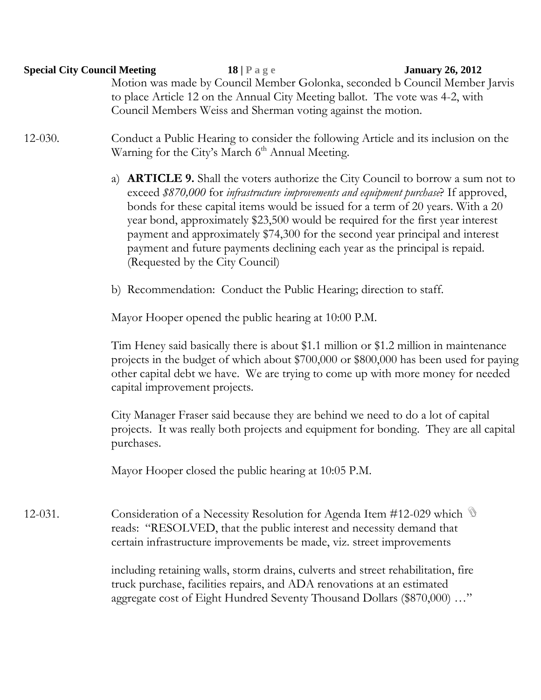| <b>Special City Council Meeting</b> | $18   P \text{ a } g \text{ e}$<br>Motion was made by Council Member Golonka, seconded b Council Member Jarvis<br>to place Article 12 on the Annual City Meeting ballot. The vote was 4-2, with                                                                                                                                                                                                                                                                                                                                                           | <b>January 26, 2012</b> |  |  |  |
|-------------------------------------|-----------------------------------------------------------------------------------------------------------------------------------------------------------------------------------------------------------------------------------------------------------------------------------------------------------------------------------------------------------------------------------------------------------------------------------------------------------------------------------------------------------------------------------------------------------|-------------------------|--|--|--|
| $12-030.$                           | Council Members Weiss and Sherman voting against the motion.<br>Conduct a Public Hearing to consider the following Article and its inclusion on the<br>Warning for the City's March 6 <sup>th</sup> Annual Meeting.                                                                                                                                                                                                                                                                                                                                       |                         |  |  |  |
|                                     | a) <b>ARTICLE 9.</b> Shall the voters authorize the City Council to borrow a sum not to<br>exceed \$870,000 for infrastructure improvements and equipment purchase? If approved,<br>bonds for these capital items would be issued for a term of 20 years. With a 20<br>year bond, approximately \$23,500 would be required for the first year interest<br>payment and approximately \$74,300 for the second year principal and interest<br>payment and future payments declining each year as the principal is repaid.<br>(Requested by the City Council) |                         |  |  |  |
|                                     | b) Recommendation: Conduct the Public Hearing; direction to staff.                                                                                                                                                                                                                                                                                                                                                                                                                                                                                        |                         |  |  |  |
|                                     | Mayor Hooper opened the public hearing at 10:00 P.M.                                                                                                                                                                                                                                                                                                                                                                                                                                                                                                      |                         |  |  |  |
|                                     | Tim Heney said basically there is about \$1.1 million or \$1.2 million in maintenance<br>projects in the budget of which about \$700,000 or \$800,000 has been used for paying<br>other capital debt we have. We are trying to come up with more money for needed<br>capital improvement projects.                                                                                                                                                                                                                                                        |                         |  |  |  |
|                                     | City Manager Fraser said because they are behind we need to do a lot of capital<br>projects. It was really both projects and equipment for bonding. They are all capital<br>purchases.                                                                                                                                                                                                                                                                                                                                                                    |                         |  |  |  |
|                                     | Mayor Hooper closed the public hearing at 10:05 P.M.                                                                                                                                                                                                                                                                                                                                                                                                                                                                                                      |                         |  |  |  |
| $12-031.$                           | Consideration of a Necessity Resolution for Agenda Item #12-029 which $\mathbb{S}$<br>reads: "RESOLVED, that the public interest and necessity demand that<br>certain infrastructure improvements be made, viz. street improvements                                                                                                                                                                                                                                                                                                                       |                         |  |  |  |
|                                     | including retaining walls, storm drains, culverts and street rehabilitation, fire<br>truck purchase, facilities repairs, and ADA renovations at an estimated<br>aggregate cost of Eight Hundred Seventy Thousand Dollars (\$870,000) "                                                                                                                                                                                                                                                                                                                    |                         |  |  |  |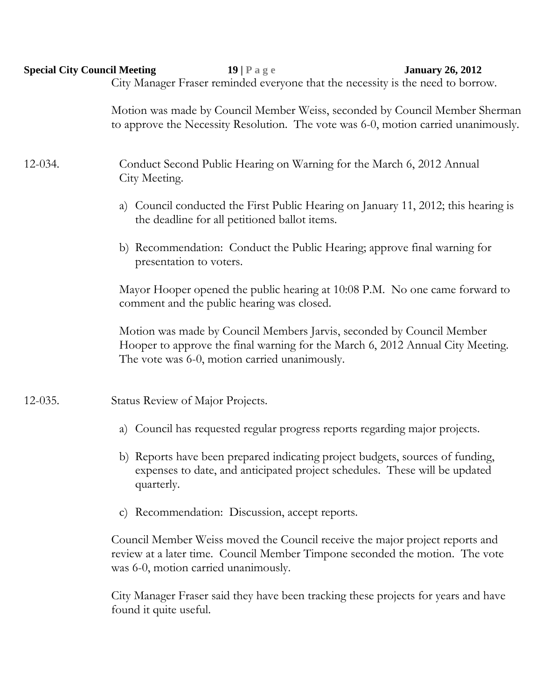| <b>Special City Council Meeting</b> | <b>January 26, 2012</b><br>$19$   Page<br>City Manager Fraser reminded everyone that the necessity is the need to borrow.                                                                                |  |  |  |  |
|-------------------------------------|----------------------------------------------------------------------------------------------------------------------------------------------------------------------------------------------------------|--|--|--|--|
|                                     | Motion was made by Council Member Weiss, seconded by Council Member Sherman<br>to approve the Necessity Resolution. The vote was 6-0, motion carried unanimously.                                        |  |  |  |  |
| $12 - 034.$                         | Conduct Second Public Hearing on Warning for the March 6, 2012 Annual<br>City Meeting.                                                                                                                   |  |  |  |  |
|                                     | a) Council conducted the First Public Hearing on January 11, 2012; this hearing is<br>the deadline for all petitioned ballot items.                                                                      |  |  |  |  |
|                                     | b) Recommendation: Conduct the Public Hearing; approve final warning for<br>presentation to voters.                                                                                                      |  |  |  |  |
|                                     | Mayor Hooper opened the public hearing at 10:08 P.M. No one came forward to<br>comment and the public hearing was closed.                                                                                |  |  |  |  |
|                                     | Motion was made by Council Members Jarvis, seconded by Council Member<br>Hooper to approve the final warning for the March 6, 2012 Annual City Meeting.<br>The vote was 6-0, motion carried unanimously. |  |  |  |  |
| $12-035.$                           | Status Review of Major Projects.                                                                                                                                                                         |  |  |  |  |
|                                     | Council has requested regular progress reports regarding major projects.<br>a)                                                                                                                           |  |  |  |  |
|                                     | b) Reports have been prepared indicating project budgets, sources of funding,<br>expenses to date, and anticipated project schedules. These will be updated<br>quarterly.                                |  |  |  |  |
|                                     | Recommendation: Discussion, accept reports.<br>$\mathbf{C}$ )                                                                                                                                            |  |  |  |  |
|                                     | Council Member Weiss moved the Council receive the major project reports and<br>review at a later time. Council Member Timpone seconded the motion. The vote<br>was 6-0, motion carried unanimously.     |  |  |  |  |

City Manager Fraser said they have been tracking these projects for years and have found it quite useful.